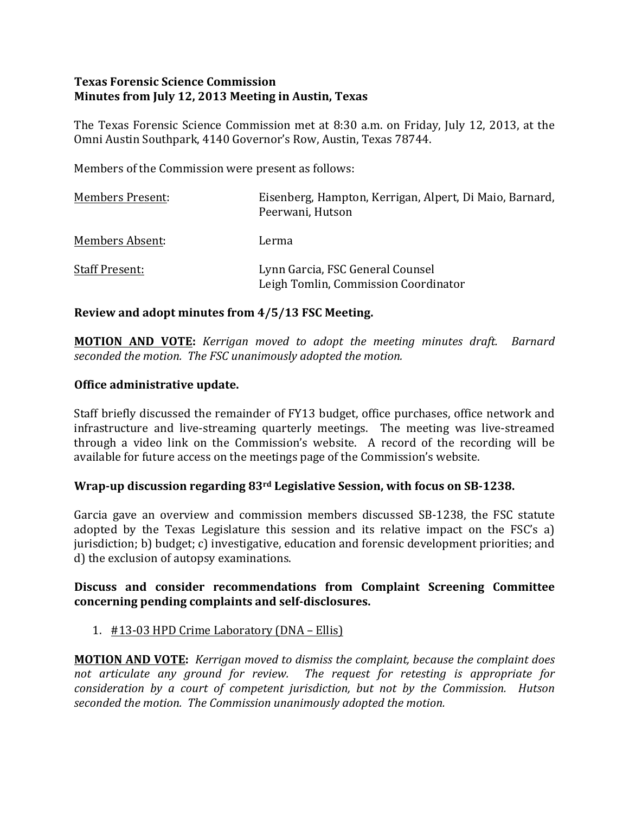### **Texas Forensic Science Commission Minutes from July 12, 2013 Meeting in Austin, Texas**

The Texas Forensic Science Commission met at 8:30 a.m. on Friday, July 12, 2013, at the Omni Austin Southpark, 4140 Governor's Row, Austin, Texas 78744.

Members of the Commission were present as follows:

| <b>Members Present:</b> | Eisenberg, Hampton, Kerrigan, Alpert, Di Maio, Barnard,<br>Peerwani, Hutson |
|-------------------------|-----------------------------------------------------------------------------|
| Members Absent:         | Lerma                                                                       |
| <b>Staff Present:</b>   | Lynn Garcia, FSC General Counsel<br>Leigh Tomlin, Commission Coordinator    |

### **Review and adopt minutes from 4/5/13 FSC Meeting.**

**MOTION AND VOTE:**  *Kerrigan moved to adopt the meeting minutes draft. Barnard* seconded the motion. The FSC unanimously adopted the motion.

### **Office administrative update.**

Staff briefly discussed the remainder of FY13 budget, office purchases, office network and infrastructure and live-streaming quarterly meetings. The meeting was live-streamed through a video link on the Commission's website. A record of the recording will be available for future access on the meetings page of the Commission's website.

### **Wrap-up discussion regarding 83<sup>rd</sup> Legislative Session, with focus on SB-1238.**

Garcia gave an overview and commission members discussed SB-1238, the FSC statute adopted by the Texas Legislature this session and its relative impact on the FSC's a) jurisdiction; b) budget; c) investigative, education and forensic development priorities; and d) the exclusion of autopsy examinations.

### **Discuss and consider recommendations from Complaint Screening Committee concerning pending complaints and self-disclosures.**

### 1. #13-03 HPD Crime Laboratory (DNA – Ellis)

**MOTION AND VOTE:** *Kerrigan moved to dismiss the complaint, because the complaint does* not articulate any ground for review. The request for retesting is appropriate for *consideration by a court of competent jurisdiction, but not by the Commission. Hutson* seconded the motion. The Commission unanimously adopted the motion.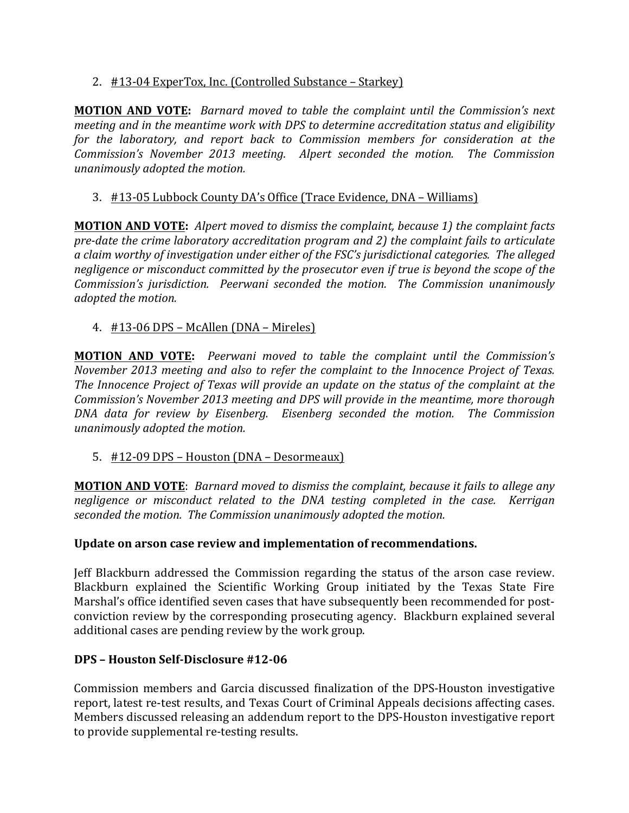## 2. #13-04 ExperTox, Inc. (Controlled Substance – Starkey)

**MOTION AND VOTE:** *Barnard moved to table the complaint until the Commission's next meeting and in the meantime work with DPS to determine accreditation status and eligibility* for the laboratory, and report back to Commission members for consideration at the *Commission's* November 2013 meeting. Alpert seconded the motion. The Commission *unanimously adopted the motion.*

# 3. #13-05 Lubbock County DA's Office (Trace Evidence, DNA – Williams)

**MOTION AND VOTE:** Alpert moved to dismiss the complaint, because 1) the complaint facts *pre-date the crime laboratory accreditation program and 2) the complaint fails to articulate* a claim worthy of investigation under either of the FSC's jurisdictional categories. The alleged *negligence or misconduct committed by the prosecutor even if true is beyond the scope of the Commission's jurisdiction.* Peerwani seconded the motion. The Commission unanimously *adopted the motion.* 

## 4.  $\#13-06$  DPS – McAllen (DNA – Mireles)

**MOTION AND VOTE:** Peerwani moved to table the complaint until the Commission's *November 2013 meeting and also to refer the complaint to the Innocence Project of Texas. The Innocence Project of Texas will provide an update on the status of the complaint at the Commission's November 2013 meeting and DPS will provide in the meantime, more thorough DNA data for review by Eisenberg. Eisenberg seconded the motion. The Commission unanimously adopted the motion.*

### 5.  $\#12-09$  DPS – Houston (DNA – Desormeaux)

**MOTION AND VOTE:** Barnard moved to dismiss the complaint, because it fails to allege any *negligence or misconduct related to the DNA testing completed in the case. Kerrigan* seconded the motion. The Commission unanimously adopted the motion.

### **Update on arson case review and implementation of recommendations.**

Jeff Blackburn addressed the Commission regarding the status of the arson case review. Blackburn explained the Scientific Working Group initiated by the Texas State Fire Marshal's office identified seven cases that have subsequently been recommended for postconviction review by the corresponding prosecuting agency. Blackburn explained several additional cases are pending review by the work group.

### **DPS – Houston Self-Disclosure #12-06**

Commission members and Garcia discussed finalization of the DPS-Houston investigative report, latest re-test results, and Texas Court of Criminal Appeals decisions affecting cases. Members discussed releasing an addendum report to the DPS-Houston investigative report to provide supplemental re-testing results.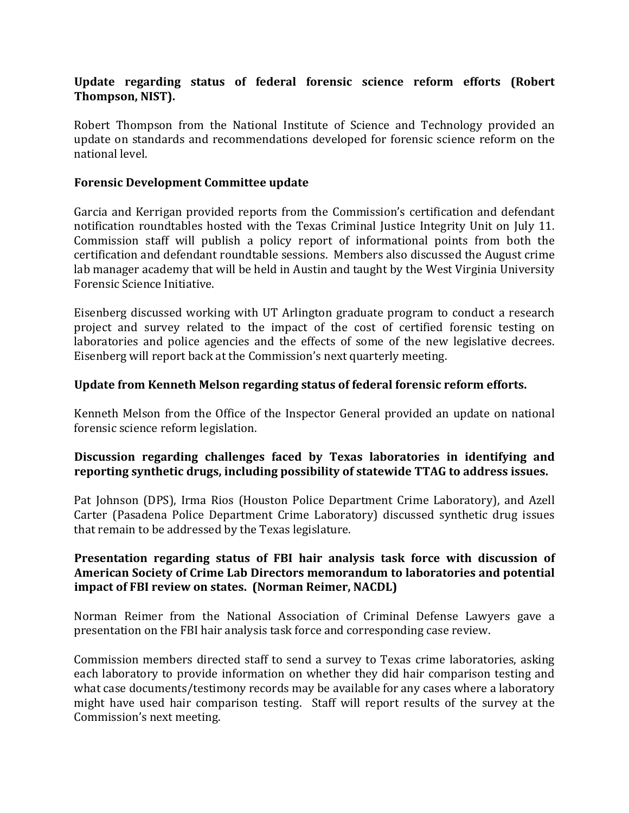## Update regarding status of federal forensic science reform efforts (Robert Thompson, NIST).

Robert Thompson from the National Institute of Science and Technology provided an update on standards and recommendations developed for forensic science reform on the national level.

#### **Forensic Development Committee update**

Garcia and Kerrigan provided reports from the Commission's certification and defendant notification roundtables hosted with the Texas Criminal Justice Integrity Unit on July 11. Commission staff will publish a policy report of informational points from both the certification and defendant roundtable sessions. Members also discussed the August crime lab manager academy that will be held in Austin and taught by the West Virginia University Forensic Science Initiative.

Eisenberg discussed working with UT Arlington graduate program to conduct a research project and survey related to the impact of the cost of certified forensic testing on laboratories and police agencies and the effects of some of the new legislative decrees. Eisenberg will report back at the Commission's next quarterly meeting.

#### **Update from Kenneth Melson regarding status of federal forensic reform efforts.**

Kenneth Melson from the Office of the Inspector General provided an update on national forensic science reform legislation.

## Discussion regarding challenges faced by Texas laboratories in identifying and reporting synthetic drugs, including possibility of statewide TTAG to address issues.

Pat Johnson (DPS), Irma Rios (Houston Police Department Crime Laboratory), and Azell Carter (Pasadena Police Department Crime Laboratory) discussed synthetic drug issues that remain to be addressed by the Texas legislature.

### Presentation regarding status of FBI hair analysis task force with discussion of American Society of Crime Lab Directors memorandum to laboratories and potential **impact of FBI review on states. (Norman Reimer, NACDL)**

Norman Reimer from the National Association of Criminal Defense Lawyers gave a presentation on the FBI hair analysis task force and corresponding case review.

Commission members directed staff to send a survey to Texas crime laboratories, asking each laboratory to provide information on whether they did hair comparison testing and what case documents/testimony records may be available for any cases where a laboratory might have used hair comparison testing. Staff will report results of the survey at the Commission's next meeting.